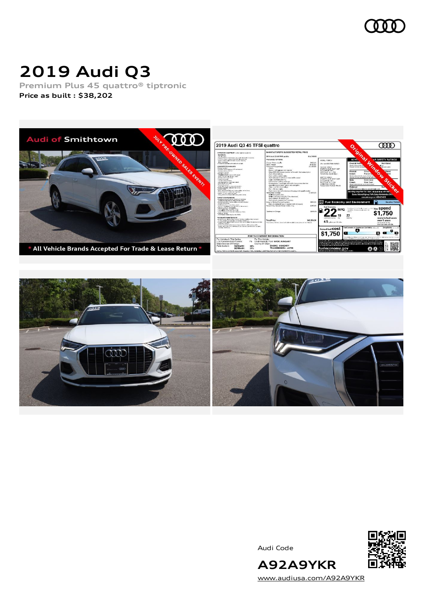

# **2019 Audi Q3**

**Premium Plus 45 quattro® tiptronic Price as built [:](#page-8-0) \$38,202**





Audi Code



[www.audiusa.com/A92A9YKR](https://www.audiusa.com/A92A9YKR)

**A92A9YKR**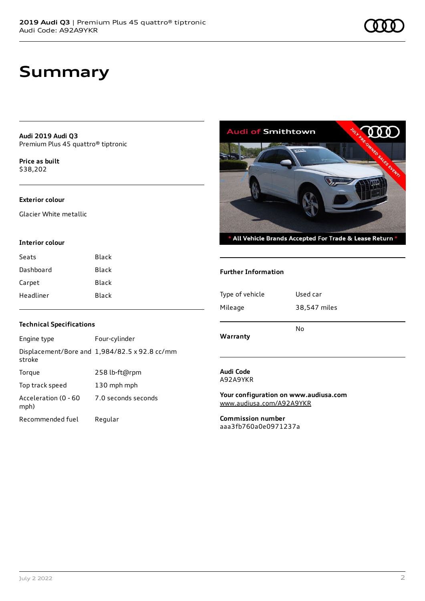## **Summary**

**Audi 2019 Audi Q3** Premium Plus 45 quattro® tiptronic

**Price as buil[t](#page-8-0)** \$38,202

#### **Exterior colour**

Glacier White metallic

#### **Interior colour**

| Seats     | Black |
|-----------|-------|
| Dashboard | Black |
| Carpet    | Black |
| Headliner | Black |



 $^*$  All Vehicle Brands Accepted For Trade & Lease Return  $^*$ 

#### **Further Information**

| Type of vehicle | Used car     |
|-----------------|--------------|
| Mileage         | 38,547 miles |
| Warranty        | No           |

#### **Audi Code** A92A9YKR

**Your configuration on www.audiusa.com** [www.audiusa.com/A92A9YKR](https://www.audiusa.com/A92A9YKR)

**Commission number** aaa3fb760a0e0971237a

#### **Technical Specifications**

| Engine type                  | Four-cylinder                                 |
|------------------------------|-----------------------------------------------|
| stroke                       | Displacement/Bore and 1,984/82.5 x 92.8 cc/mm |
| Torque                       | 258 lb-ft@rpm                                 |
| Top track speed              | 130 mph mph                                   |
| Acceleration (0 - 60<br>mph) | 7.0 seconds seconds                           |
| Recommended fuel             | Regular                                       |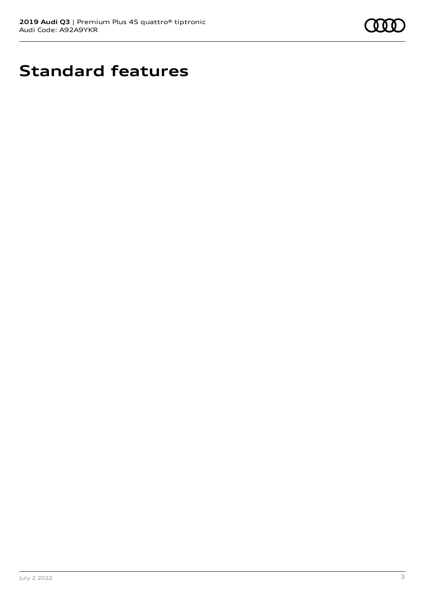

# **Standard features**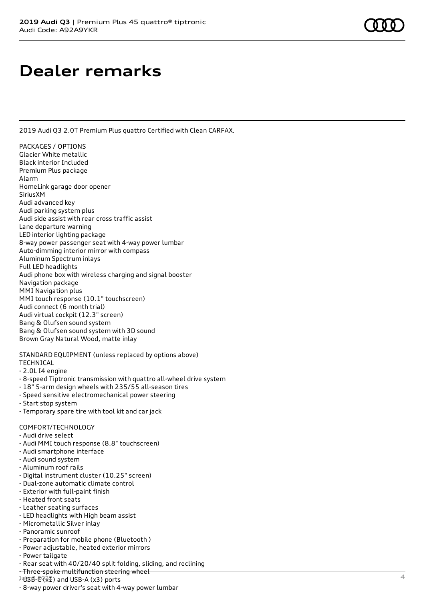## **Dealer remarks**

2019 Audi Q3 2.0T Premium Plus quattro Certified with Clean CARFAX.

PACKAGES / OPTIONS Glacier White metallic Black interior Included Premium Plus package Alarm HomeLink garage door opener SiriusXM Audi advanced key Audi parking system plus Audi side assist with rear cross traffic assist Lane departure warning LED interior lighting package 8-way power passenger seat with 4-way power lumbar Auto-dimming interior mirror with compass Aluminum Spectrum inlays Full LED headlights Audi phone box with wireless charging and signal booster Navigation package MMI Navigation plus MMI touch response (10.1" touchscreen) Audi connect (6 month trial) Audi virtual cockpit (12.3" screen) Bang & Olufsen sound system Bang & Olufsen sound system with 3D sound Brown Gray Natural Wood, matte inlay

STANDARD EQUIPMENT (unless replaced by options above) TECHNICAL

#### - 2.0L I4 engine

- 8-speed Tiptronic transmission with quattro all-wheel drive system
- 18" 5-arm design wheels with 235/55 all-season tires
- Speed sensitive electromechanical power steering
- Start stop system
- Temporary spare tire with tool kit and car jack

#### COMFORT/TECHNOLOGY

- Audi drive select
- Audi MMI touch response (8.8" touchscreen)
- Audi smartphone interface
- Audi sound system
- Aluminum roof rails
- Digital instrument cluster (10.25" screen)
- Dual-zone automatic climate control
- Exterior with full-paint finish
- Heated front seats
- Leather seating surfaces
- LED headlights with High beam assist
- Micrometallic Silver inlay
- Panoramic sunroof
- Preparation for mobile phone (Bluetooth )
- Power adjustable, heated exterior mirrors
- Power tailgate
- Rear seat with 40/20/40 split folding, sliding, and reclining
- Three-spoke multifunction steering wheel
- $1$ <sup>U</sup>SB- $\epsilon$ <sup>Q</sup> $\chi$ <sup>2</sup>) and USB-A (x3) ports
- 8-way power driver's seat with 4-way power lumbar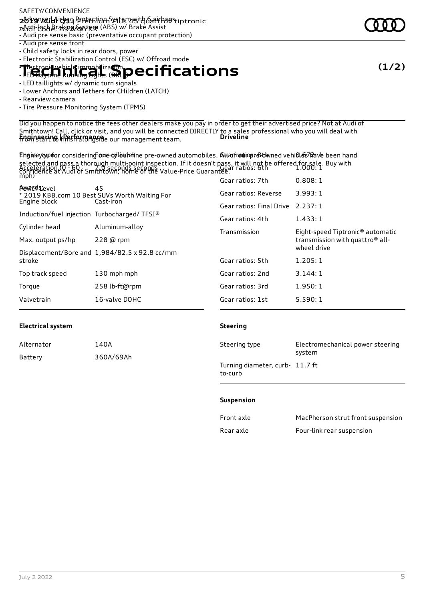- Advanced Airbag Protection System with 6 airbags **2019 Audi Q3** | Premium Plus 45 quattro® tiptronic zARi-lock Braking Aystrop (ABS) w/ Brake Assist

- Audi pre sense basic (preventative occupant protection)

- Audi pre sense front
- Child safety locks in rear doors, power
- Electronic Stabilization Control (ESC) w/ Offroad mode

**Electronic vehicle immobilization Technical Lights Expecifications** 

- LED taillights w/ dynamic turn signals

### - Lower Anchors and Tethers for CHildren (LATCH)

- Rearview camera

- Tire Pressure Monitoring System (TPMS)

Did you happen to notice the fees other dealers make you pay in order to get their advertised price? Not at Audi of Smithtown! Call, click or visit, and you will be connected DIRECTLY to a sales professional who you will deal with from start to finish alongside our management team. **Engineering | Performance Driveline**

Ehgineytyptor considering one of lourefine pre-owned automobiles. AtlarfroniopreSt wned vehicles lave been hand selected and pass a thorough multi-point inspection. If it doesn't pass, it will not be offered for sale. Buy with Acceleration (0 - 60 there is conds seconds column in classific plaza<br>confidence at Audi of Smithtown; home of the Value-Price Guarantee. mph)  $7.0$  seconds seconds  $_{1.0}$   $_{1.0}$   $_{2.0}$   $_{2.0}$  ratios: 6th  $^{2.0}$  1.000: 1

|                                             |                                                     | Gear ratios: 7th                            | 0.808:1                                      |
|---------------------------------------------|-----------------------------------------------------|---------------------------------------------|----------------------------------------------|
| <b>A</b> was devel                          | 45<br>* 2019 KBB.com 10 Best SUVs Worth Waiting For | Gear ratios: Reverse                        | 3.993:1                                      |
| Engine block                                | Cast-iron                                           | Gear ratios: Final Drive                    | 2.237:1                                      |
| Induction/fuel injection Turbocharged/TFSI® |                                                     | Gear ratios: 4th                            | 1.433:1                                      |
| Cylinder head                               | Aluminum-alloy                                      | Transmission                                | Eight-speed Tiptronic <sup>®</sup> automatic |
| Max. output ps/hp                           | 228 @ rpm                                           | transmission with quattro <sup>®</sup> all- |                                              |
|                                             | Displacement/Bore and 1,984/82.5 x 92.8 cc/mm       |                                             | wheel drive                                  |
| stroke                                      |                                                     | Gear ratios: 5th                            | 1.205:1                                      |
| Top track speed                             | 130 mph mph                                         | Gear ratios: 2nd                            | 3.144:1                                      |
| Torque                                      | 258 lb-ft@rpm                                       | Gear ratios: 3rd                            | 1.950:1                                      |
| Valvetrain                                  | 16-valve DOHC                                       | Gear ratios: 1st                            | 5.590:1                                      |
|                                             |                                                     |                                             |                                              |

### **Electrical system**

| Alternator | 140A      |
|------------|-----------|
| Battery    | 360A/69Ah |

#### **Steering**

| Steering type                              | Electromechanical power steering<br>system |
|--------------------------------------------|--------------------------------------------|
| Turning diameter, curb- 11.7 ft<br>to-curb |                                            |

#### **Suspension**

| Front axle | MacPherson strut front suspension |
|------------|-----------------------------------|
| Rear axle  | Four-link rear suspension         |

**(1/2)**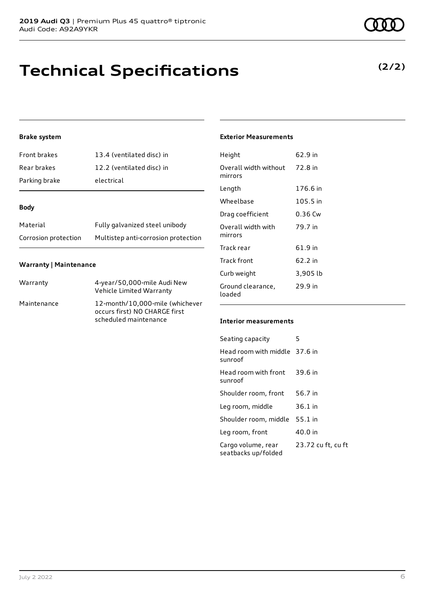## **Technical Specifications**

### **Brake system**

| Front brakes  | 13.4 (ventilated disc) in |
|---------------|---------------------------|
| Rear brakes   | 12.2 (ventilated disc) in |
| Parking brake | electrical                |

#### **Body**

| Material             | Fully galvanized steel unibody      |
|----------------------|-------------------------------------|
| Corrosion protection | Multistep anti-corrosion protection |

#### **Warranty | Maintenance**

| Warranty    | 4-year/50,000-mile Audi New<br>Vehicle Limited Warranty                                   |
|-------------|-------------------------------------------------------------------------------------------|
| Maintenance | 12-month/10,000-mile (whichever<br>occurs first) NO CHARGE first<br>scheduled maintenance |

### **Exterior Measurements**

| Height                           | 62.9 in  |
|----------------------------------|----------|
| Overall width without<br>mirrors | 72.8 in  |
| Length                           | 176.6 in |
| Wheelbase                        | 105.5 in |
| Drag coefficient                 | 0.36 Cw  |
| Overall width with<br>mirrors    | 79.7 in  |
| Track rear                       | 61.9 in  |
| Track front                      | 62.2 in  |
| Curb weight                      | 3,905 lb |
| Ground clearance,<br>loaded      | 29.9 in  |

#### **Interior measurements**

| Seating capacity                          | 5                  |
|-------------------------------------------|--------------------|
| Head room with middle 37.6 in<br>sunroof  |                    |
| Head room with front<br>sunroof           | 39.6 in            |
| Shoulder room, front                      | 56.7 in            |
| Leg room, middle                          | 36.1 in            |
| Shoulder room, middle                     | 55.1 in            |
| Leg room, front                           | 40.0 in            |
| Cargo volume, rear<br>seatbacks up/folded | 23.72 cu ft, cu ft |

### **(2/2)**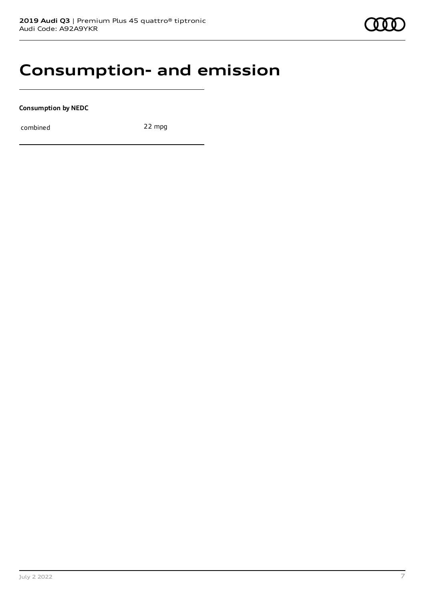### **Consumption- and emission**

**Consumption by NEDC**

combined 22 mpg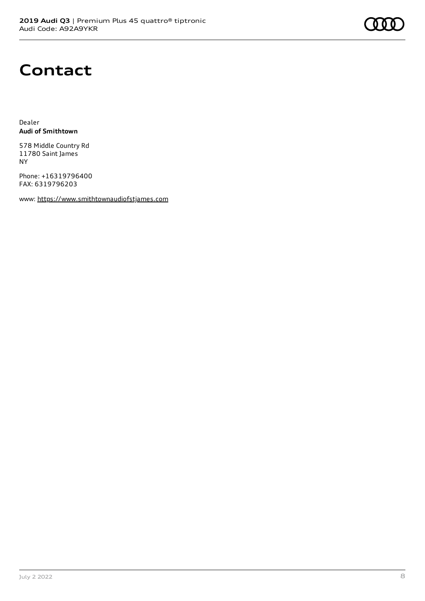## **Contact**

Dealer **Audi of Smithtown**

578 Middle Country Rd 11780 Saint James NY

Phone: +16319796400 FAX: 6319796203

www: [https://www.smithtownaudiofstjames.com](https://www.smithtownaudiofstjames.com/)